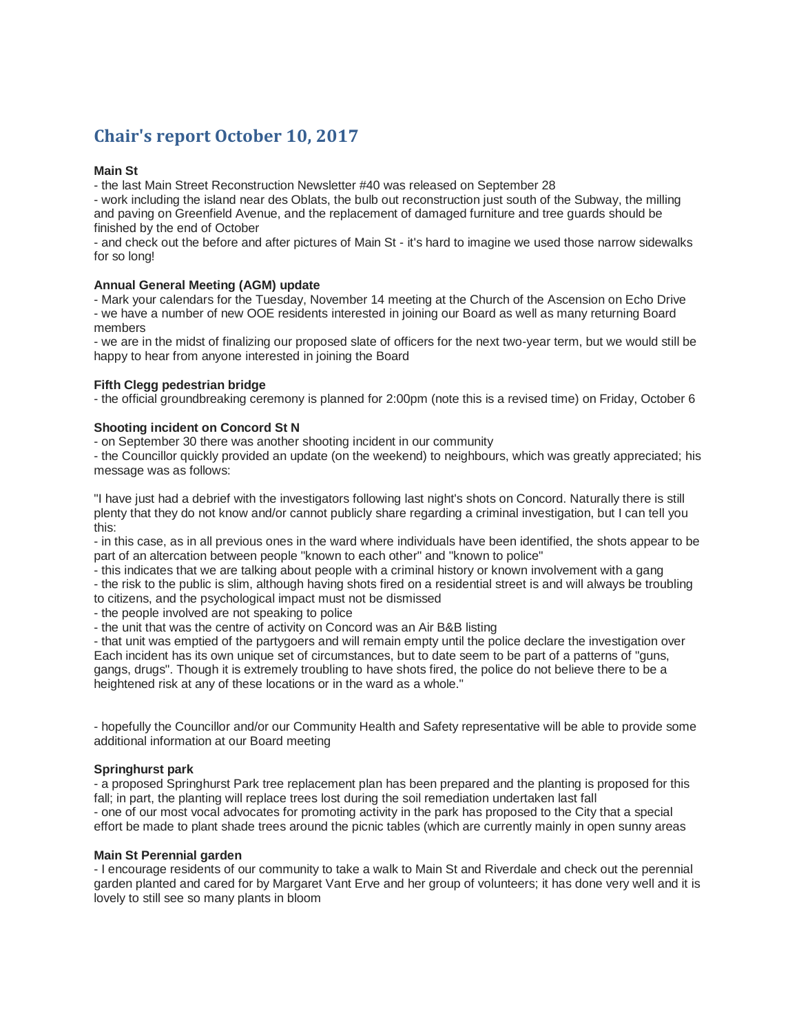# **Chair's report October 10, 2017**

# **Main St**

- the last Main Street Reconstruction Newsletter #40 was released on September 28

- work including the island near des Oblats, the bulb out reconstruction just south of the Subway, the milling and paving on Greenfield Avenue, and the replacement of damaged furniture and tree guards should be finished by the end of October

- and check out the before and after pictures of Main St - it's hard to imagine we used those narrow sidewalks for so long!

# **Annual General Meeting (AGM) update**

- Mark your calendars for the Tuesday, November 14 meeting at the Church of the Ascension on Echo Drive - we have a number of new OOE residents interested in joining our Board as well as many returning Board members

- we are in the midst of finalizing our proposed slate of officers for the next two-year term, but we would still be happy to hear from anyone interested in joining the Board

# **Fifth Clegg pedestrian bridge**

- the official groundbreaking ceremony is planned for 2:00pm (note this is a revised time) on Friday, October 6

# **Shooting incident on Concord St N**

- on September 30 there was another shooting incident in our community

- the Councillor quickly provided an update (on the weekend) to neighbours, which was greatly appreciated; his message was as follows:

"I have just had a debrief with the investigators following last night's shots on Concord. Naturally there is still plenty that they do not know and/or cannot publicly share regarding a criminal investigation, but I can tell you this:

- in this case, as in all previous ones in the ward where individuals have been identified, the shots appear to be part of an altercation between people "known to each other" and "known to police"

- this indicates that we are talking about people with a criminal history or known involvement with a gang - the risk to the public is slim, although having shots fired on a residential street is and will always be troubling to citizens, and the psychological impact must not be dismissed

- the people involved are not speaking to police

- the unit that was the centre of activity on Concord was an Air B&B listing

- that unit was emptied of the partygoers and will remain empty until the police declare the investigation over Each incident has its own unique set of circumstances, but to date seem to be part of a patterns of "guns, gangs, drugs". Though it is extremely troubling to have shots fired, the police do not believe there to be a heightened risk at any of these locations or in the ward as a whole."

- hopefully the Councillor and/or our Community Health and Safety representative will be able to provide some additional information at our Board meeting

#### **Springhurst park**

- a proposed Springhurst Park tree replacement plan has been prepared and the planting is proposed for this fall; in part, the planting will replace trees lost during the soil remediation undertaken last fall - one of our most vocal advocates for promoting activity in the park has proposed to the City that a special effort be made to plant shade trees around the picnic tables (which are currently mainly in open sunny areas

#### **Main St Perennial garden**

- I encourage residents of our community to take a walk to Main St and Riverdale and check out the perennial garden planted and cared for by Margaret Vant Erve and her group of volunteers; it has done very well and it is lovely to still see so many plants in bloom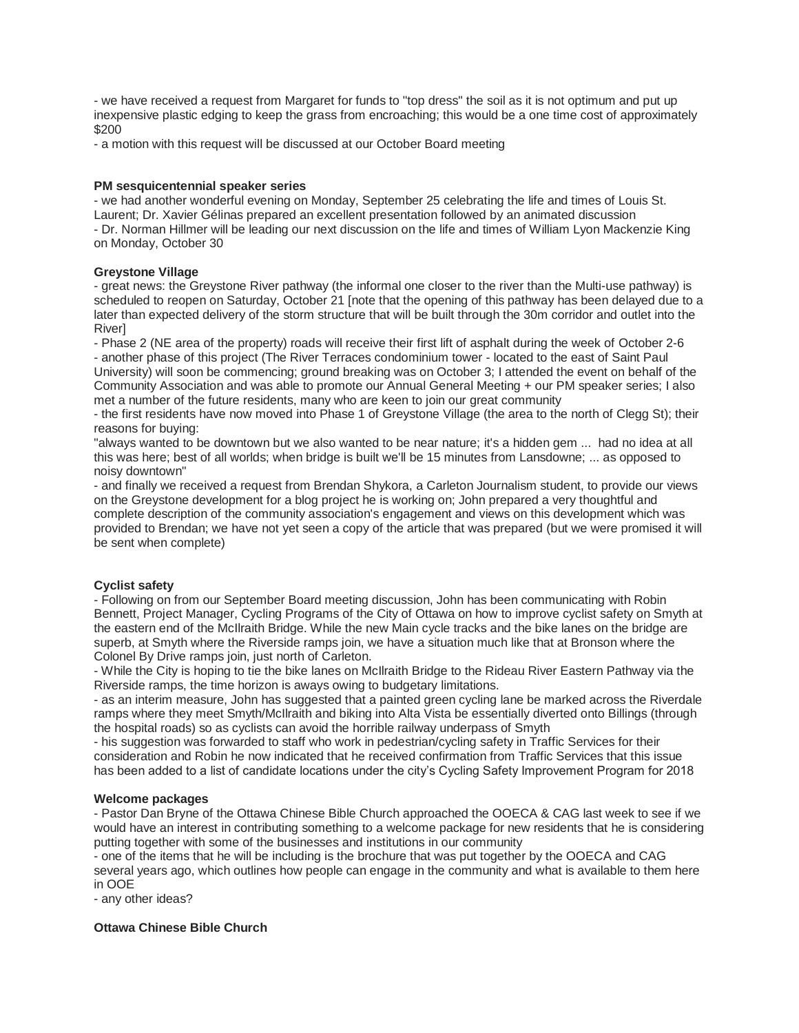- we have received a request from Margaret for funds to "top dress" the soil as it is not optimum and put up inexpensive plastic edging to keep the grass from encroaching; this would be a one time cost of approximately \$200

- a motion with this request will be discussed at our October Board meeting

# **PM sesquicentennial speaker series**

- we had another wonderful evening on Monday, September 25 celebrating the life and times of Louis St. Laurent; Dr. Xavier Gélinas prepared an excellent presentation followed by an animated discussion - Dr. Norman Hillmer will be leading our next discussion on the life and times of William Lyon Mackenzie King on Monday, October 30

# **Greystone Village**

- great news: the Greystone River pathway (the informal one closer to the river than the Multi-use pathway) is scheduled to reopen on Saturday, October 21 [note that the opening of this pathway has been delayed due to a later than expected delivery of the storm structure that will be built through the 30m corridor and outlet into the River]

- Phase 2 (NE area of the property) roads will receive their first lift of asphalt during the week of October 2-6 - another phase of this project (The River Terraces condominium tower - located to the east of Saint Paul University) will soon be commencing; ground breaking was on October 3; I attended the event on behalf of the Community Association and was able to promote our Annual General Meeting + our PM speaker series; I also met a number of the future residents, many who are keen to join our great community

- the first residents have now moved into Phase 1 of Greystone Village (the area to the north of Clegg St); their reasons for buying:

"always wanted to be downtown but we also wanted to be near nature; it's a hidden gem ... had no idea at all this was here; best of all worlds; when bridge is built we'll be 15 minutes from Lansdowne; ... as opposed to noisy downtown"

- and finally we received a request from Brendan Shykora, a Carleton Journalism student, to provide our views on the Greystone development for a blog project he is working on; John prepared a very thoughtful and complete description of the community association's engagement and views on this development which was provided to Brendan; we have not yet seen a copy of the article that was prepared (but we were promised it will be sent when complete)

# **Cyclist safety**

- Following on from our September Board meeting discussion, John has been communicating with Robin Bennett, Project Manager, Cycling Programs of the City of Ottawa on how to improve cyclist safety on Smyth at the eastern end of the McIlraith Bridge. While the new Main cycle tracks and the bike lanes on the bridge are superb, at Smyth where the Riverside ramps join, we have a situation much like that at Bronson where the Colonel By Drive ramps join, just north of Carleton.

- While the City is hoping to tie the bike lanes on McIlraith Bridge to the Rideau River Eastern Pathway via the Riverside ramps, the time horizon is aways owing to budgetary limitations.

- as an interim measure, John has suggested that a painted green cycling lane be marked across the Riverdale ramps where they meet Smyth/McIlraith and biking into Alta Vista be essentially diverted onto Billings (through the hospital roads) so as cyclists can avoid the horrible railway underpass of Smyth

- his suggestion was forwarded to staff who work in pedestrian/cycling safety in Traffic Services for their consideration and Robin he now indicated that he received confirmation from Traffic Services that this issue has been added to a list of candidate locations under the city's Cycling Safety Improvement Program for 2018

#### **Welcome packages**

- Pastor Dan Bryne of the Ottawa Chinese Bible Church approached the OOECA & CAG last week to see if we would have an interest in contributing something to a welcome package for new residents that he is considering putting together with some of the businesses and institutions in our community

- one of the items that he will be including is the brochure that was put together by the OOECA and CAG several years ago, which outlines how people can engage in the community and what is available to them here in OOE

- any other ideas?

# **Ottawa Chinese Bible Church**